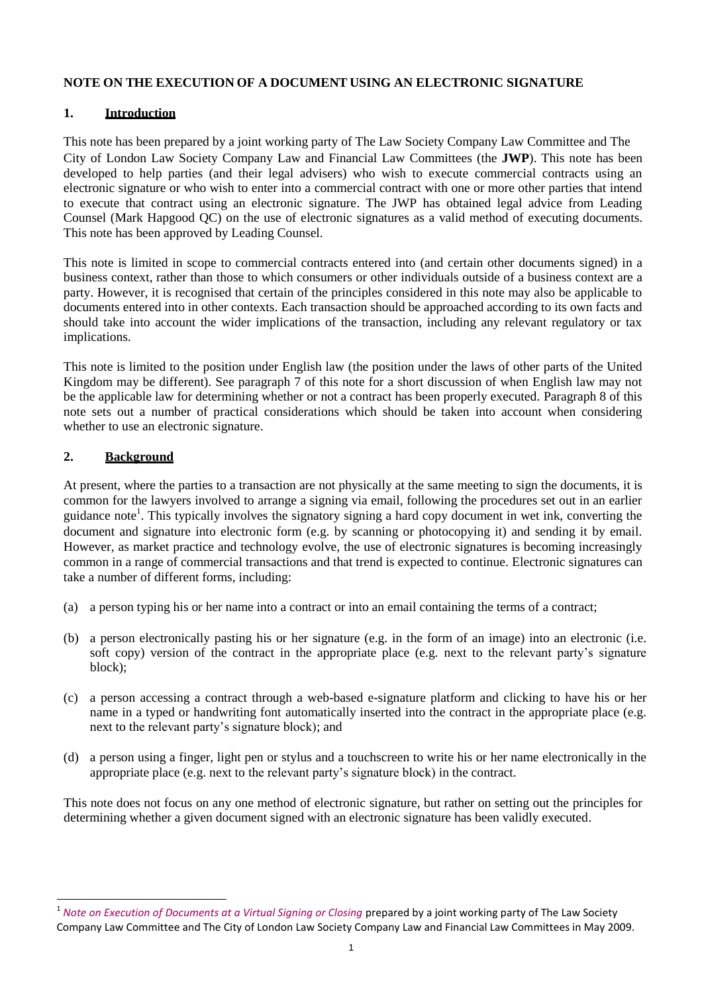#### **NOTE ON THE EXECUTION OF A DOCUMENT USING AN ELECTRONIC SIGNATURE**

### **1. Introduction**

This note has been prepared by a joint working party of The Law Society Company Law Committee and The City of London Law Society Company Law and Financial Law Committees (the **JWP**). This note has been developed to help parties (and their legal advisers) who wish to execute commercial contracts using an electronic signature or who wish to enter into a commercial contract with one or more other parties that intend to execute that contract using an electronic signature. The JWP has obtained legal advice from Leading Counsel (Mark Hapgood QC) on the use of electronic signatures as a valid method of executing documents. This note has been approved by Leading Counsel.

This note is limited in scope to commercial contracts entered into (and certain other documents signed) in a business context, rather than those to which consumers or other individuals outside of a business context are a party. However, it is recognised that certain of the principles considered in this note may also be applicable to documents entered into in other contexts. Each transaction should be approached according to its own facts and should take into account the wider implications of the transaction, including any relevant regulatory or tax implications.

This note is limited to the position under English law (the position under the laws of other parts of the United Kingdom may be different). See paragraph 7 of this note for a short discussion of when English law may not be the applicable law for determining whether or not a contract has been properly executed. Paragraph 8 of this note sets out a number of practical considerations which should be taken into account when considering whether to use an electronic signature.

# **2. Background**

 $\overline{a}$ 

At present, where the parties to a transaction are not physically at the same meeting to sign the documents, it is common for the lawyers involved to arrange a signing via email, following the procedures set out in an earlier guidance note<sup>1</sup>. This typically involves the signatory signing a hard copy document in wet ink, converting the document and signature into electronic form (e.g. by scanning or photocopying it) and sending it by email. However, as market practice and technology evolve, the use of electronic signatures is becoming increasingly common in a range of commercial transactions and that trend is expected to continue. Electronic signatures can take a number of different forms, including:

- (a) a person typing his or her name into a contract or into an email containing the terms of a contract;
- (b) a person electronically pasting his or her signature (e.g. in the form of an image) into an electronic (i.e. soft copy) version of the contract in the appropriate place (e.g. next to the relevant party's signature block);
- (c) a person accessing a contract through a web-based e-signature platform and clicking to have his or her name in a typed or handwriting font automatically inserted into the contract in the appropriate place (e.g. next to the relevant party's signature block); and
- (d) a person using a finger, light pen or stylus and a touchscreen to write his or her name electronically in the appropriate place (e.g. next to the relevant party's signature block) in the contract.

This note does not focus on any one method of electronic signature, but rather on setting out the principles for determining whether a given document signed with an electronic signature has been validly executed.

<sup>1</sup> *Note on Execution of Documents at a Virtual Signing or Closing* prepared by a joint working party of The Law Society Company Law Committee and The City of London Law Society Company Law and Financial Law Committees in May 2009.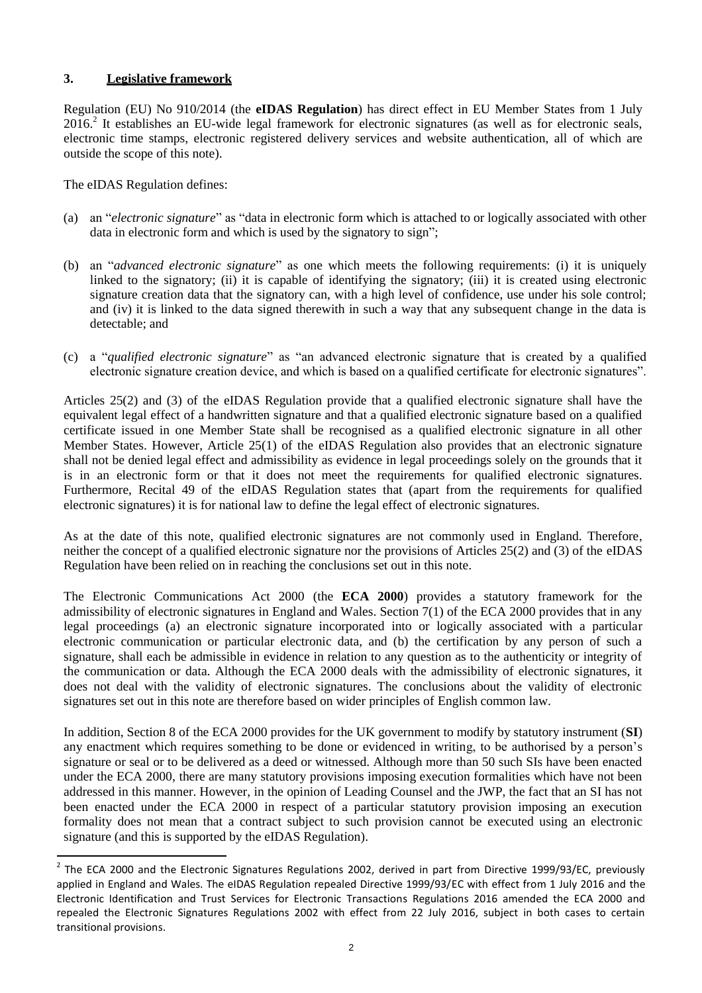## **3. Legislative framework**

Regulation (EU) No 910/2014 (the **eIDAS Regulation**) has direct effect in EU Member States from 1 July  $2016<sup>2</sup>$  It establishes an EU-wide legal framework for electronic signatures (as well as for electronic seals, electronic time stamps, electronic registered delivery services and website authentication, all of which are outside the scope of this note).

The eIDAS Regulation defines:

- (a) an "*electronic signature*" as "data in electronic form which is attached to or logically associated with other data in electronic form and which is used by the signatory to sign";
- (b) an "*advanced electronic signature*" as one which meets the following requirements: (i) it is uniquely linked to the signatory; (ii) it is capable of identifying the signatory; (iii) it is created using electronic signature creation data that the signatory can, with a high level of confidence, use under his sole control; and (iv) it is linked to the data signed therewith in such a way that any subsequent change in the data is detectable; and
- (c) a "*qualified electronic signature*" as "an advanced electronic signature that is created by a qualified electronic signature creation device, and which is based on a qualified certificate for electronic signatures".

Articles 25(2) and (3) of the eIDAS Regulation provide that a qualified electronic signature shall have the equivalent legal effect of a handwritten signature and that a qualified electronic signature based on a qualified certificate issued in one Member State shall be recognised as a qualified electronic signature in all other Member States. However, Article 25(1) of the eIDAS Regulation also provides that an electronic signature shall not be denied legal effect and admissibility as evidence in legal proceedings solely on the grounds that it is in an electronic form or that it does not meet the requirements for qualified electronic signatures. Furthermore, Recital 49 of the eIDAS Regulation states that (apart from the requirements for qualified electronic signatures) it is for national law to define the legal effect of electronic signatures.

As at the date of this note, qualified electronic signatures are not commonly used in England. Therefore, neither the concept of a qualified electronic signature nor the provisions of Articles 25(2) and (3) of the eIDAS Regulation have been relied on in reaching the conclusions set out in this note.

The Electronic Communications Act 2000 (the **ECA 2000**) provides a statutory framework for the admissibility of electronic signatures in England and Wales. Section 7(1) of the ECA 2000 provides that in any legal proceedings (a) an electronic signature incorporated into or logically associated with a particular electronic communication or particular electronic data, and (b) the certification by any person of such a signature, shall each be admissible in evidence in relation to any question as to the authenticity or integrity of the communication or data. Although the ECA 2000 deals with the admissibility of electronic signatures, it does not deal with the validity of electronic signatures. The conclusions about the validity of electronic signatures set out in this note are therefore based on wider principles of English common law.

In addition, Section 8 of the ECA 2000 provides for the UK government to modify by statutory instrument (**SI**) any enactment which requires something to be done or evidenced in writing, to be authorised by a person's signature or seal or to be delivered as a deed or witnessed. Although more than 50 such SIs have been enacted under the ECA 2000, there are many statutory provisions imposing execution formalities which have not been addressed in this manner. However, in the opinion of Leading Counsel and the JWP, the fact that an SI has not been enacted under the ECA 2000 in respect of a particular statutory provision imposing an execution formality does not mean that a contract subject to such provision cannot be executed using an electronic signature (and this is supported by the eIDAS Regulation).

 2 The ECA 2000 and the Electronic Signatures Regulations 2002, derived in part from Directive 1999/93/EC, previously applied in England and Wales. The eIDAS Regulation repealed Directive 1999/93/EC with effect from 1 July 2016 and the Electronic Identification and Trust Services for Electronic Transactions Regulations 2016 amended the ECA 2000 and repealed the Electronic Signatures Regulations 2002 with effect from 22 July 2016, subject in both cases to certain transitional provisions.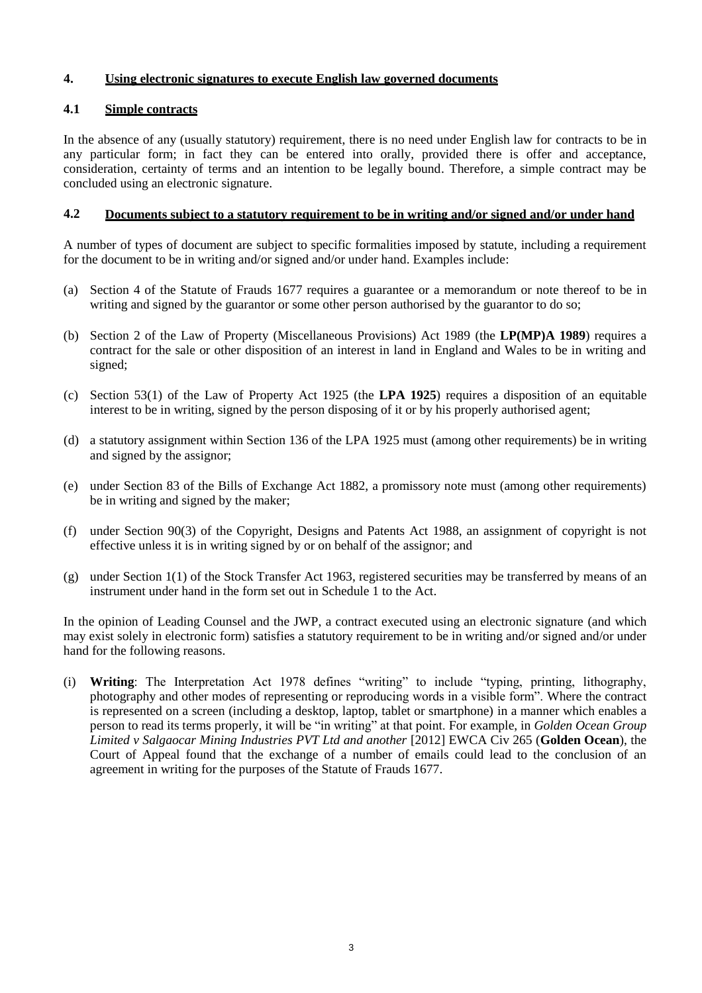### **4. Using electronic signatures to execute English law governed documents**

#### **4.1 Simple contracts**

In the absence of any (usually statutory) requirement, there is no need under English law for contracts to be in any particular form; in fact they can be entered into orally, provided there is offer and acceptance, consideration, certainty of terms and an intention to be legally bound. Therefore, a simple contract may be concluded using an electronic signature.

#### **4.2 Documents subject to a statutory requirement to be in writing and/or signed and/or under hand**

A number of types of document are subject to specific formalities imposed by statute, including a requirement for the document to be in writing and/or signed and/or under hand. Examples include:

- (a) Section 4 of the Statute of Frauds 1677 requires a guarantee or a memorandum or note thereof to be in writing and signed by the guarantor or some other person authorised by the guarantor to do so;
- (b) Section 2 of the Law of Property (Miscellaneous Provisions) Act 1989 (the **LP(MP)A 1989**) requires a contract for the sale or other disposition of an interest in land in England and Wales to be in writing and signed;
- (c) Section 53(1) of the Law of Property Act 1925 (the **LPA 1925**) requires a disposition of an equitable interest to be in writing, signed by the person disposing of it or by his properly authorised agent;
- (d) a statutory assignment within Section 136 of the LPA 1925 must (among other requirements) be in writing and signed by the assignor;
- (e) under Section 83 of the Bills of Exchange Act 1882, a promissory note must (among other requirements) be in writing and signed by the maker;
- (f) under Section 90(3) of the Copyright, Designs and Patents Act 1988, an assignment of copyright is not effective unless it is in writing signed by or on behalf of the assignor; and
- (g) under Section 1(1) of the Stock Transfer Act 1963, registered securities may be transferred by means of an instrument under hand in the form set out in Schedule 1 to the Act.

In the opinion of Leading Counsel and the JWP, a contract executed using an electronic signature (and which may exist solely in electronic form) satisfies a statutory requirement to be in writing and/or signed and/or under hand for the following reasons.

(i) **Writing**: The Interpretation Act 1978 defines "writing" to include "typing, printing, lithography, photography and other modes of representing or reproducing words in a visible form". Where the contract is represented on a screen (including a desktop, laptop, tablet or smartphone) in a manner which enables a person to read its terms properly, it will be "in writing" at that point. For example, in *Golden Ocean Group Limited v Salgaocar Mining Industries PVT Ltd and another* [2012] EWCA Civ 265 (**Golden Ocean**), the Court of Appeal found that the exchange of a number of emails could lead to the conclusion of an agreement in writing for the purposes of the Statute of Frauds 1677.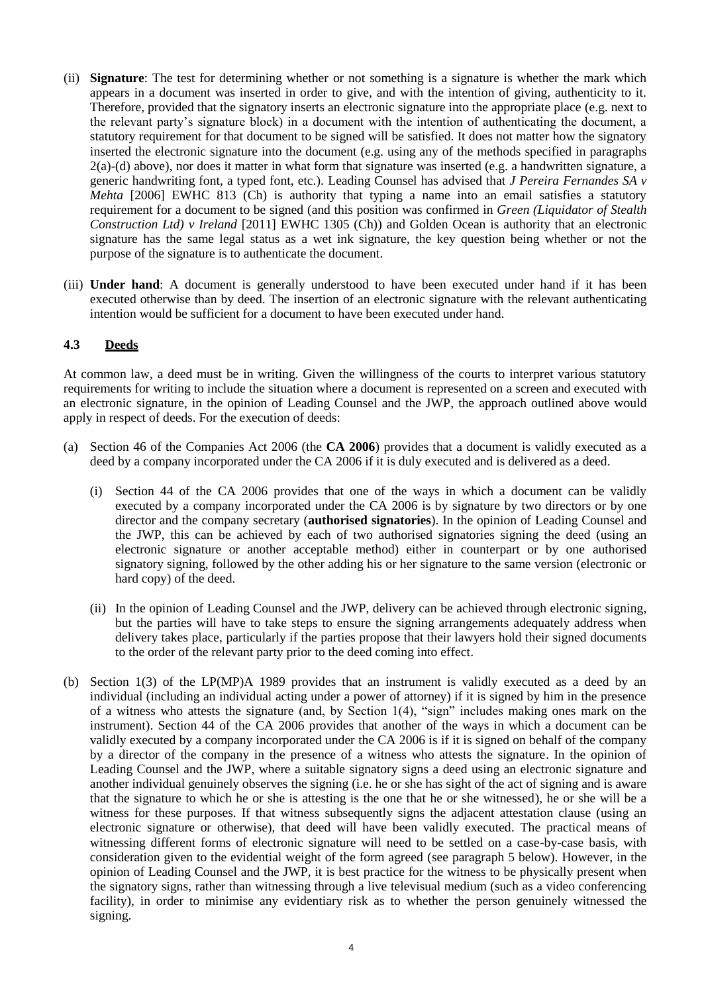- (ii) **Signature**: The test for determining whether or not something is a signature is whether the mark which appears in a document was inserted in order to give, and with the intention of giving, authenticity to it. Therefore, provided that the signatory inserts an electronic signature into the appropriate place (e.g. next to the relevant party's signature block) in a document with the intention of authenticating the document, a statutory requirement for that document to be signed will be satisfied. It does not matter how the signatory inserted the electronic signature into the document (e.g. using any of the methods specified in paragraphs 2(a)-(d) above), nor does it matter in what form that signature was inserted (e.g. a handwritten signature, a generic handwriting font, a typed font, etc.). Leading Counsel has advised that *J Pereira Fernandes SA v Mehta* [2006] EWHC 813 (Ch) is authority that typing a name into an email satisfies a statutory requirement for a document to be signed (and this position was confirmed in *Green (Liquidator of Stealth Construction Ltd) v Ireland* [2011] EWHC 1305 (Ch)) and Golden Ocean is authority that an electronic signature has the same legal status as a wet ink signature, the key question being whether or not the purpose of the signature is to authenticate the document.
- (iii) **Under hand**: A document is generally understood to have been executed under hand if it has been executed otherwise than by deed. The insertion of an electronic signature with the relevant authenticating intention would be sufficient for a document to have been executed under hand.

### **4.3 Deeds**

At common law, a deed must be in writing. Given the willingness of the courts to interpret various statutory requirements for writing to include the situation where a document is represented on a screen and executed with an electronic signature, in the opinion of Leading Counsel and the JWP, the approach outlined above would apply in respect of deeds. For the execution of deeds:

- (a) Section 46 of the Companies Act 2006 (the **CA 2006**) provides that a document is validly executed as a deed by a company incorporated under the CA 2006 if it is duly executed and is delivered as a deed.
	- (i) Section 44 of the CA 2006 provides that one of the ways in which a document can be validly executed by a company incorporated under the CA 2006 is by signature by two directors or by one director and the company secretary (**authorised signatories**). In the opinion of Leading Counsel and the JWP, this can be achieved by each of two authorised signatories signing the deed (using an electronic signature or another acceptable method) either in counterpart or by one authorised signatory signing, followed by the other adding his or her signature to the same version (electronic or hard copy) of the deed.
	- (ii) In the opinion of Leading Counsel and the JWP, delivery can be achieved through electronic signing, but the parties will have to take steps to ensure the signing arrangements adequately address when delivery takes place, particularly if the parties propose that their lawyers hold their signed documents to the order of the relevant party prior to the deed coming into effect.
- (b) Section 1(3) of the LP(MP)A 1989 provides that an instrument is validly executed as a deed by an individual (including an individual acting under a power of attorney) if it is signed by him in the presence of a witness who attests the signature (and, by Section 1(4), "sign" includes making ones mark on the instrument). Section 44 of the CA 2006 provides that another of the ways in which a document can be validly executed by a company incorporated under the CA 2006 is if it is signed on behalf of the company by a director of the company in the presence of a witness who attests the signature. In the opinion of Leading Counsel and the JWP, where a suitable signatory signs a deed using an electronic signature and another individual genuinely observes the signing (i.e. he or she has sight of the act of signing and is aware that the signature to which he or she is attesting is the one that he or she witnessed), he or she will be a witness for these purposes. If that witness subsequently signs the adjacent attestation clause (using an electronic signature or otherwise), that deed will have been validly executed. The practical means of witnessing different forms of electronic signature will need to be settled on a case-by-case basis, with consideration given to the evidential weight of the form agreed (see paragraph 5 below). However, in the opinion of Leading Counsel and the JWP, it is best practice for the witness to be physically present when the signatory signs, rather than witnessing through a live televisual medium (such as a video conferencing facility), in order to minimise any evidentiary risk as to whether the person genuinely witnessed the signing.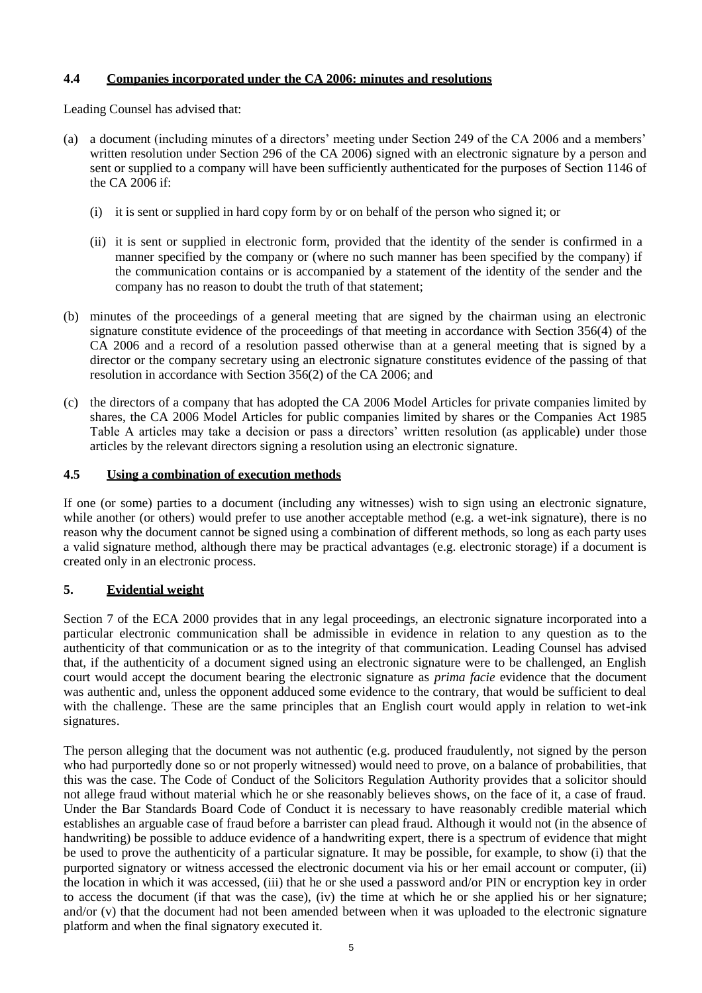## **4.4 Companies incorporated under the CA 2006: minutes and resolutions**

Leading Counsel has advised that:

- (a) a document (including minutes of a directors' meeting under Section 249 of the CA 2006 and a members' written resolution under Section 296 of the CA 2006) signed with an electronic signature by a person and sent or supplied to a company will have been sufficiently authenticated for the purposes of Section 1146 of the CA 2006 if:
	- (i) it is sent or supplied in hard copy form by or on behalf of the person who signed it; or
	- (ii) it is sent or supplied in electronic form, provided that the identity of the sender is confirmed in a manner specified by the company or (where no such manner has been specified by the company) if the communication contains or is accompanied by a statement of the identity of the sender and the company has no reason to doubt the truth of that statement;
- (b) minutes of the proceedings of a general meeting that are signed by the chairman using an electronic signature constitute evidence of the proceedings of that meeting in accordance with Section 356(4) of the CA 2006 and a record of a resolution passed otherwise than at a general meeting that is signed by a director or the company secretary using an electronic signature constitutes evidence of the passing of that resolution in accordance with Section 356(2) of the CA 2006; and
- (c) the directors of a company that has adopted the CA 2006 Model Articles for private companies limited by shares, the CA 2006 Model Articles for public companies limited by shares or the Companies Act 1985 Table A articles may take a decision or pass a directors' written resolution (as applicable) under those articles by the relevant directors signing a resolution using an electronic signature.

### **4.5 Using a combination of execution methods**

If one (or some) parties to a document (including any witnesses) wish to sign using an electronic signature, while another (or others) would prefer to use another acceptable method (e.g. a wet-ink signature), there is no reason why the document cannot be signed using a combination of different methods, so long as each party uses a valid signature method, although there may be practical advantages (e.g. electronic storage) if a document is created only in an electronic process.

# **5. Evidential weight**

Section 7 of the ECA 2000 provides that in any legal proceedings, an electronic signature incorporated into a particular electronic communication shall be admissible in evidence in relation to any question as to the authenticity of that communication or as to the integrity of that communication. Leading Counsel has advised that, if the authenticity of a document signed using an electronic signature were to be challenged, an English court would accept the document bearing the electronic signature as *prima facie* evidence that the document was authentic and, unless the opponent adduced some evidence to the contrary, that would be sufficient to deal with the challenge. These are the same principles that an English court would apply in relation to wet-ink signatures.

The person alleging that the document was not authentic (e.g. produced fraudulently, not signed by the person who had purportedly done so or not properly witnessed) would need to prove, on a balance of probabilities, that this was the case. The Code of Conduct of the Solicitors Regulation Authority provides that a solicitor should not allege fraud without material which he or she reasonably believes shows, on the face of it, a case of fraud. Under the Bar Standards Board Code of Conduct it is necessary to have reasonably credible material which establishes an arguable case of fraud before a barrister can plead fraud. Although it would not (in the absence of handwriting) be possible to adduce evidence of a handwriting expert, there is a spectrum of evidence that might be used to prove the authenticity of a particular signature. It may be possible, for example, to show (i) that the purported signatory or witness accessed the electronic document via his or her email account or computer, (ii) the location in which it was accessed, (iii) that he or she used a password and/or PIN or encryption key in order to access the document (if that was the case), (iv) the time at which he or she applied his or her signature; and/or (v) that the document had not been amended between when it was uploaded to the electronic signature platform and when the final signatory executed it.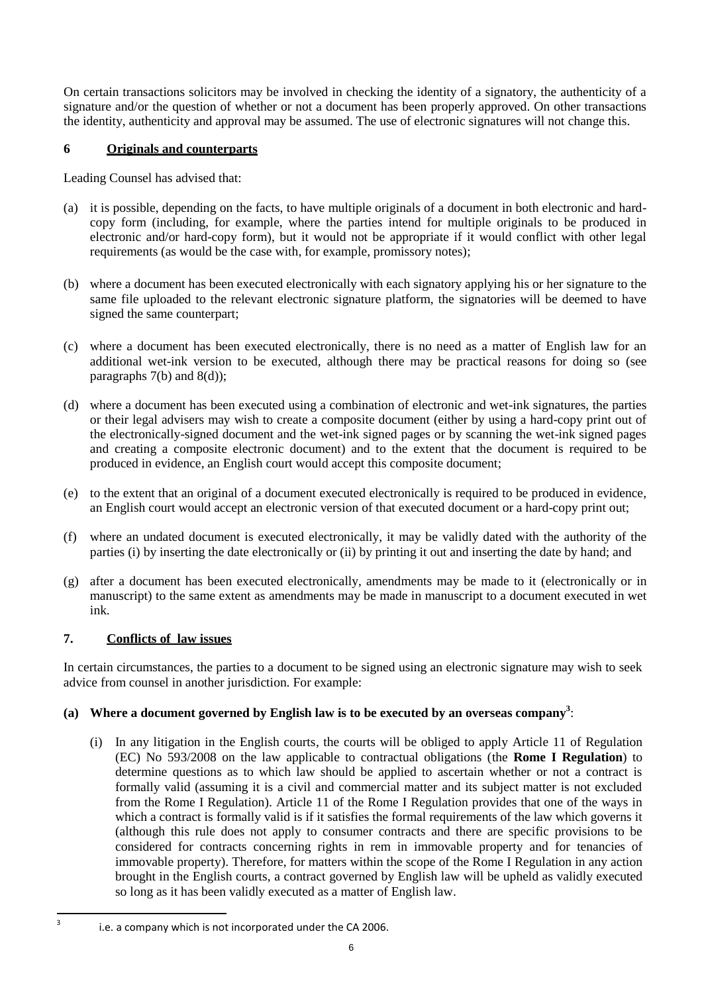On certain transactions solicitors may be involved in checking the identity of a signatory, the authenticity of a signature and/or the question of whether or not a document has been properly approved. On other transactions the identity, authenticity and approval may be assumed. The use of electronic signatures will not change this.

## **6 Originals and counterparts**

Leading Counsel has advised that:

- (a) it is possible, depending on the facts, to have multiple originals of a document in both electronic and hardcopy form (including, for example, where the parties intend for multiple originals to be produced in electronic and/or hard-copy form), but it would not be appropriate if it would conflict with other legal requirements (as would be the case with, for example, promissory notes);
- (b) where a document has been executed electronically with each signatory applying his or her signature to the same file uploaded to the relevant electronic signature platform, the signatories will be deemed to have signed the same counterpart;
- (c) where a document has been executed electronically, there is no need as a matter of English law for an additional wet-ink version to be executed, although there may be practical reasons for doing so (see paragraphs 7(b) and 8(d));
- (d) where a document has been executed using a combination of electronic and wet-ink signatures, the parties or their legal advisers may wish to create a composite document (either by using a hard-copy print out of the electronically-signed document and the wet-ink signed pages or by scanning the wet-ink signed pages and creating a composite electronic document) and to the extent that the document is required to be produced in evidence, an English court would accept this composite document;
- (e) to the extent that an original of a document executed electronically is required to be produced in evidence, an English court would accept an electronic version of that executed document or a hard-copy print out;
- (f) where an undated document is executed electronically, it may be validly dated with the authority of the parties (i) by inserting the date electronically or (ii) by printing it out and inserting the date by hand; and
- (g) after a document has been executed electronically, amendments may be made to it (electronically or in manuscript) to the same extent as amendments may be made in manuscript to a document executed in wet ink.

# **7. Conflicts of law issues**

-<br>3

In certain circumstances, the parties to a document to be signed using an electronic signature may wish to seek advice from counsel in another jurisdiction. For example:

# **(a) Where a document governed by English law is to be executed by an overseas company<sup>3</sup>** :

(i) In any litigation in the English courts, the courts will be obliged to apply Article 11 of Regulation (EC) No 593/2008 on the law applicable to contractual obligations (the **Rome I Regulation**) to determine questions as to which law should be applied to ascertain whether or not a contract is formally valid (assuming it is a civil and commercial matter and its subject matter is not excluded from the Rome I Regulation). Article 11 of the Rome I Regulation provides that one of the ways in which a contract is formally valid is if it satisfies the formal requirements of the law which governs it (although this rule does not apply to consumer contracts and there are specific provisions to be considered for contracts concerning rights in rem in immovable property and for tenancies of immovable property). Therefore, for matters within the scope of the Rome I Regulation in any action brought in the English courts, a contract governed by English law will be upheld as validly executed so long as it has been validly executed as a matter of English law.

i.e. a company which is not incorporated under the CA 2006.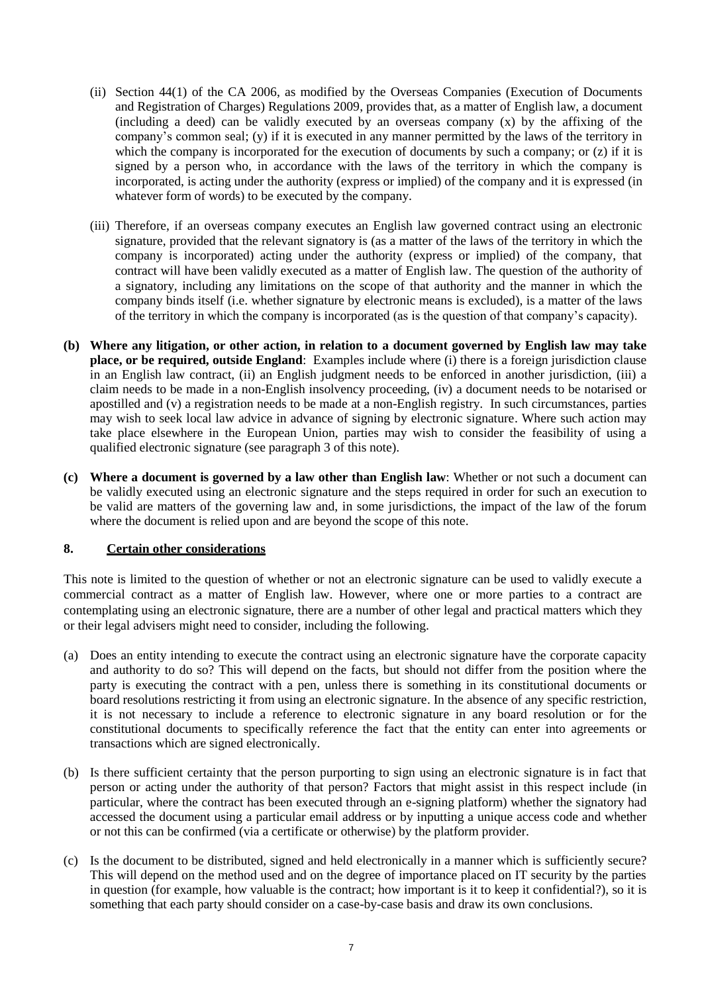- (ii) Section 44(1) of the CA 2006, as modified by the Overseas Companies (Execution of Documents and Registration of Charges) Regulations 2009, provides that, as a matter of English law, a document (including a deed) can be validly executed by an overseas company (x) by the affixing of the company's common seal; (y) if it is executed in any manner permitted by the laws of the territory in which the company is incorporated for the execution of documents by such a company; or (z) if it is signed by a person who, in accordance with the laws of the territory in which the company is incorporated, is acting under the authority (express or implied) of the company and it is expressed (in whatever form of words) to be executed by the company.
- (iii) Therefore, if an overseas company executes an English law governed contract using an electronic signature, provided that the relevant signatory is (as a matter of the laws of the territory in which the company is incorporated) acting under the authority (express or implied) of the company, that contract will have been validly executed as a matter of English law. The question of the authority of a signatory, including any limitations on the scope of that authority and the manner in which the company binds itself (i.e. whether signature by electronic means is excluded), is a matter of the laws of the territory in which the company is incorporated (as is the question of that company's capacity).
- **(b) Where any litigation, or other action, in relation to a document governed by English law may take place, or be required, outside England**: Examples include where (i) there is a foreign jurisdiction clause in an English law contract, (ii) an English judgment needs to be enforced in another jurisdiction, (iii) a claim needs to be made in a non-English insolvency proceeding, (iv) a document needs to be notarised or apostilled and (v) a registration needs to be made at a non-English registry. In such circumstances, parties may wish to seek local law advice in advance of signing by electronic signature. Where such action may take place elsewhere in the European Union, parties may wish to consider the feasibility of using a qualified electronic signature (see paragraph 3 of this note).
- **(c) Where a document is governed by a law other than English law**: Whether or not such a document can be validly executed using an electronic signature and the steps required in order for such an execution to be valid are matters of the governing law and, in some jurisdictions, the impact of the law of the forum where the document is relied upon and are beyond the scope of this note.

#### **8. Certain other considerations**

This note is limited to the question of whether or not an electronic signature can be used to validly execute a commercial contract as a matter of English law. However, where one or more parties to a contract are contemplating using an electronic signature, there are a number of other legal and practical matters which they or their legal advisers might need to consider, including the following.

- (a) Does an entity intending to execute the contract using an electronic signature have the corporate capacity and authority to do so? This will depend on the facts, but should not differ from the position where the party is executing the contract with a pen, unless there is something in its constitutional documents or board resolutions restricting it from using an electronic signature. In the absence of any specific restriction, it is not necessary to include a reference to electronic signature in any board resolution or for the constitutional documents to specifically reference the fact that the entity can enter into agreements or transactions which are signed electronically.
- (b) Is there sufficient certainty that the person purporting to sign using an electronic signature is in fact that person or acting under the authority of that person? Factors that might assist in this respect include (in particular, where the contract has been executed through an e-signing platform) whether the signatory had accessed the document using a particular email address or by inputting a unique access code and whether or not this can be confirmed (via a certificate or otherwise) by the platform provider.
- (c) Is the document to be distributed, signed and held electronically in a manner which is sufficiently secure? This will depend on the method used and on the degree of importance placed on IT security by the parties in question (for example, how valuable is the contract; how important is it to keep it confidential?), so it is something that each party should consider on a case-by-case basis and draw its own conclusions.